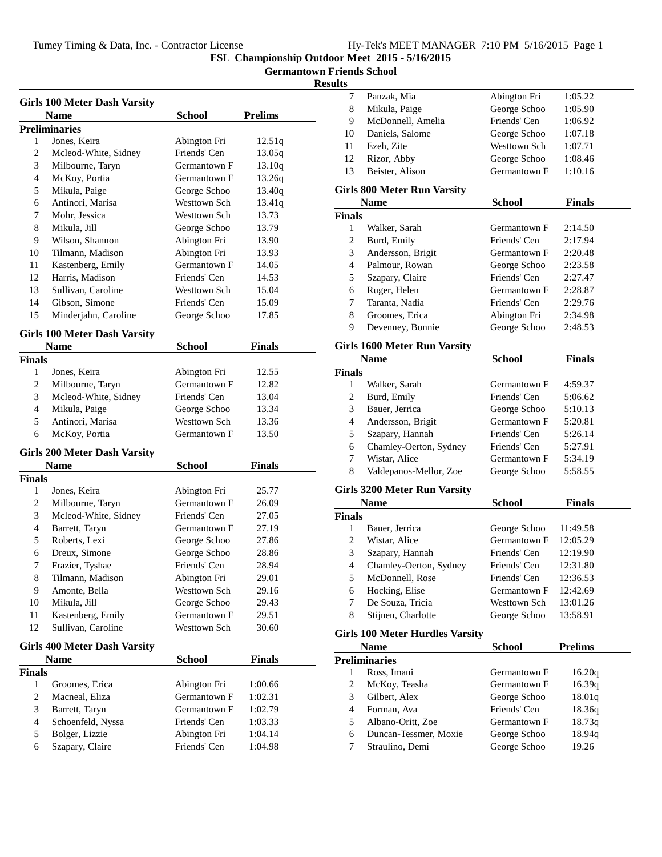# **Germantown Friends School**

|                | <b>Girls 100 Meter Dash Varsity</b>         |               |                |  |
|----------------|---------------------------------------------|---------------|----------------|--|
|                | <b>Name</b>                                 | <b>School</b> | <b>Prelims</b> |  |
|                | <b>Preliminaries</b>                        |               |                |  |
| 1              | Jones, Keira                                | Abington Fri  | 12.51q         |  |
| 2              | Mcleod-White, Sidney                        | Friends' Cen  | 13.05q         |  |
| 3              | Milbourne, Taryn                            | Germantown F  | 13.10q         |  |
| 4              | McKoy, Portia                               | Germantown F  | 13.26q         |  |
| 5              | Mikula, Paige                               | George Schoo  | 13.40q         |  |
| 6              | Antinori, Marisa                            | Westtown Sch  | 13.41q         |  |
| 7              | Mohr, Jessica                               | Westtown Sch  | 13.73          |  |
| 8              | Mikula, Jill                                | George Schoo  | 13.79          |  |
| 9              | Wilson, Shannon                             | Abington Fri  | 13.90          |  |
| 10             | Tilmann, Madison                            | Abington Fri  | 13.93          |  |
| 11             | Kastenberg, Emily                           | Germantown F  | 14.05          |  |
| 12             | Harris, Madison                             | Friends' Cen  | 14.53          |  |
| 13             | Sullivan, Caroline                          | Westtown Sch  | 15.04          |  |
| 14             | Gibson, Simone                              | Friends' Cen  | 15.09          |  |
| 15             | Minderjahn, Caroline                        | George Schoo  | 17.85          |  |
|                | <b>Girls 100 Meter Dash Varsity</b>         |               |                |  |
|                | Name                                        | <b>School</b> | <b>Finals</b>  |  |
| <b>Finals</b>  |                                             |               |                |  |
| 1              | Jones, Keira                                | Abington Fri  | 12.55          |  |
| 2              | Milbourne, Taryn                            | Germantown F  | 12.82          |  |
| 3              | Mcleod-White, Sidney                        | Friends' Cen  | 13.04          |  |
| 4              | Mikula, Paige                               | George Schoo  | 13.34          |  |
| 5              | Antinori, Marisa                            | Westtown Sch  | 13.36          |  |
| 6              | McKoy, Portia                               | Germantown F  | 13.50          |  |
|                |                                             |               |                |  |
|                | <b>Girls 200 Meter Dash Varsity</b>         |               |                |  |
|                | <b>Name</b>                                 | School        | <b>Finals</b>  |  |
| Finals         |                                             |               |                |  |
| 1              | Jones, Keira                                | Abington Fri  | 25.77          |  |
| 2              | Milbourne, Taryn                            | Germantown F  | 26.09          |  |
| 3              | Mcleod-White, Sidney                        | Friends' Cen  | 27.05          |  |
| 4              | Barrett, Taryn                              | Germantown F  | 27.19          |  |
| 5              | Roberts, Lexi                               | George Schoo  | 27.86          |  |
| 6              | Dreux, Simone                               | George Schoo  | 28.86          |  |
| 7              | Frazier, Tyshae                             | Friends' Cen  | 28.94          |  |
| 8              | Tilmann, Madison                            | Abington Fri  | 29.01          |  |
| 9              | Amonte, Bella                               | Westtown Sch  | 29.16          |  |
| 10             | Mikula, Jill                                | George Schoo  | 29.43          |  |
| 11             | Kastenberg, Emily                           | Germantown F  | 29.51          |  |
| 12             |                                             |               |                |  |
|                | Sullivan, Caroline                          | Westtown Sch  | 30.60          |  |
|                |                                             |               |                |  |
|                | <b>Girls 400 Meter Dash Varsity</b><br>Name | <b>School</b> | <b>Finals</b>  |  |
| <b>Finals</b>  |                                             |               |                |  |
| 1              | Groomes, Erica                              | Abington Fri  | 1:00.66        |  |
| 2              | Macneal, Eliza                              | Germantown F  | 1:02.31        |  |
| 3              | Barrett, Taryn                              | Germantown F  | 1:02.79        |  |
| $\overline{4}$ | Schoenfeld, Nyssa                           | Friends' Cen  | 1:03.33        |  |
| 5              | Bolger, Lizzie                              | Abington Fri  | 1:04.14        |  |
| 6              | Szapary, Claire                             | Friends' Cen  | 1:04.98        |  |

| 7                | Panzak, Mia                              | Abington Fri                 | 1:05.22         |
|------------------|------------------------------------------|------------------------------|-----------------|
| 8                | Mikula, Paige                            | George Schoo                 | 1:05.90         |
| 9                | McDonnell, Amelia                        | Friends' Cen                 | 1:06.92         |
| 10               | Daniels, Salome                          | George Schoo                 | 1:07.18         |
| 11               | Ezeh, Zite                               | Westtown Sch                 | 1:07.71         |
| 12               | Rizor, Abby                              | George Schoo                 | 1:08.46         |
| 13               | Beister, Alison                          | Germantown F                 | 1:10.16         |
|                  | <b>Girls 800 Meter Run Varsity</b>       |                              |                 |
|                  | <b>Name</b>                              | <b>School</b>                | Finals          |
| <b>Finals</b>    |                                          |                              |                 |
| 1                | Walker, Sarah                            | Germantown F                 | 2:14.50         |
| 2                | Burd, Emily                              | Friends' Cen                 | 2:17.94         |
| 3                | Andersson, Brigit                        | Germantown F                 | 2:20.48         |
| $\overline{4}$   | Palmour, Rowan                           | George Schoo                 | 2:23.58         |
| 5                | Szapary, Claire                          | Friends' Cen                 | 2:27.47         |
| 6                | Ruger, Helen                             | Germantown F                 | 2:28.87         |
| 7                | Taranta, Nadia                           | Friends' Cen                 | 2:29.76         |
| 8                | Groomes, Erica                           | Abington Fri                 | 2:34.98         |
| 9                | Devenney, Bonnie                         | George Schoo                 | 2:48.53         |
|                  | <b>Girls 1600 Meter Run Varsity</b>      |                              |                 |
|                  | <b>Name</b>                              | School                       | <b>Finals</b>   |
| <b>Finals</b>    |                                          |                              |                 |
| 1                | Walker, Sarah                            | Germantown F                 | 4:59.37         |
| $\boldsymbol{2}$ | Burd, Emily                              | Friends' Cen                 | 5:06.62         |
| 3                | Bauer, Jerrica                           | George Schoo                 | 5:10.13         |
| $\overline{4}$   | Andersson, Brigit                        | Germantown F                 | 5:20.81         |
| 5                | Szapary, Hannah                          | Friends' Cen                 | 5:26.14         |
| 6                | Chamley-Oerton, Sydney                   | Friends' Cen                 | 5:27.91         |
| 7                | Wistar, Alice                            | Germantown F                 | 5:34.19         |
| 8                | Valdepanos-Mellor, Zoe                   | George Schoo                 | 5:58.55         |
|                  | <b>Girls 3200 Meter Run Varsity</b>      |                              |                 |
|                  | <b>Name</b>                              | <b>School</b>                | <b>Finals</b>   |
| <b>Finals</b>    |                                          |                              |                 |
| 1                | Bauer, Jerrica                           | George Schoo                 | 11:49.58        |
| 2                | Wistar, Alice                            | Germantown F                 | 12:05.29        |
| 3                | Szapary, Hannah                          | Friends' Cen                 | 12:19.90        |
| 4                | Chamley-Oerton, Sydney                   | Friends' Cen                 | 12:31.80        |
| 5                | McDonnell, Rose                          | Friends' Cen                 | 12:36.53        |
| 6                | Hocking, Elise                           | Germantown F                 | 12:42.69        |
| 7                | De Souza, Tricia                         | Westtown Sch                 | 13:01.26        |
| 8                | Stijnen, Charlotte                       | George Schoo                 | 13:58.91        |
|                  | <b>Girls 100 Meter Hurdles Varsity</b>   |                              |                 |
|                  | <b>Name</b>                              | <b>School</b>                | <b>Prelims</b>  |
|                  | <b>Preliminaries</b>                     |                              |                 |
| 1                | Ross, Imani                              | Germantown F                 | 16.20q          |
| $\overline{c}$   | McKoy, Teasha                            | Germantown F                 | 16.39q          |
|                  |                                          |                              |                 |
| 3                | Gilbert, Alex                            | George Schoo                 | 18.01q          |
| 4                | Forman, Ava                              | Friends' Cen                 | 18.36q          |
| 5                | Albano-Oritt, Zoe                        | Germantown F                 | 18.73q          |
| 6<br>7           | Duncan-Tessmer, Moxie<br>Straulino, Demi | George Schoo<br>George Schoo | 18.94q<br>19.26 |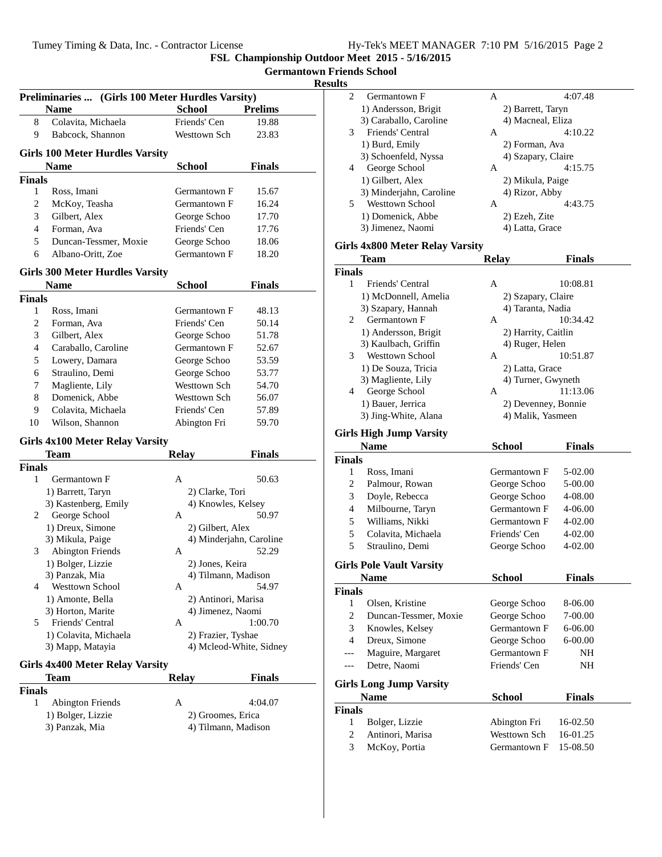**Preliminaries ... (Girls 100 Meter Hurdles Varsity)**

**FSL Championship Outdoor Meet 2015 - 5/16/2015**

**Germantown Friends School**

#### **Results**

| Friends' Cen<br>Colavita, Michaela<br>19.88<br>8<br>9<br>Babcock, Shannon<br>Westtown Sch<br>23.83<br><b>Girls 100 Meter Hurdles Varsity</b><br><b>Name</b><br><b>School</b><br>Finals<br><b>Finals</b><br>1<br>Ross, Imani<br>Germantown F<br>15.67<br>2<br>McKoy, Teasha<br>Germantown F<br>16.24<br>3<br>Gilbert, Alex<br>George Schoo<br>17.70<br>4<br>Friends' Cen<br>Forman, Ava<br>17.76<br>5<br>Duncan-Tessmer, Moxie<br>George Schoo<br>18.06<br>6<br>Germantown F<br>Albano-Oritt, Zoe<br>18.20<br><b>Girls 300 Meter Hurdles Varsity</b><br><b>School</b><br>Finals<br>Name<br><b>Finals</b><br>1<br>Ross, Imani<br>Germantown F<br>48.13<br>$\overline{c}$<br>Friends' Cen<br>Forman, Ava<br>50.14<br>3<br>Gilbert, Alex<br>George Schoo<br>51.78<br>Caraballo, Caroline<br>Germantown F<br>4<br>52.67<br>5<br>Lowery, Damara<br>George Schoo<br>53.59<br>Straulino, Demi<br>George Schoo<br>6<br>53.77<br>Westtown Sch<br>7<br>Magliente, Lily<br>54.70<br>Domenick, Abbe<br>8<br>Westtown Sch<br>56.07<br>9<br>Colavita, Michaela<br>Friends' Cen<br>57.89<br>10<br>Wilson, Shannon<br>Abington Fri<br>59.70<br>Girls 4x100 Meter Relay Varsity<br><b>Relay</b><br>Finals<br><b>Team</b><br><b>Finals</b><br>1<br>A<br>50.63<br>Germantown F<br>2) Clarke, Tori<br>1) Barrett, Taryn<br>3) Kastenberg, Emily<br>4) Knowles, Kelsey<br>George School<br>50.97<br>2<br>A<br>1) Dreux, Simone<br>2) Gilbert, Alex<br>3) Mikula, Paige<br>4) Minderjahn, Caroline<br>52.29<br><b>Abington Friends</b><br>3<br>A<br>1) Bolger, Lizzie<br>2) Jones, Keira<br>3) Panzak, Mia<br>4) Tilmann, Madison<br><b>Westtown School</b><br>54.97<br>4<br>Α<br>1) Amonte, Bella<br>2) Antinori, Marisa<br>3) Horton, Marite<br>4) Jimenez, Naomi<br>Friends' Central<br>5.<br>1:00.70<br>А<br>1) Colavita, Michaela<br>2) Frazier, Tyshae<br>3) Mapp, Matayia<br>4) Mcleod-White, Sidney<br>Girls 4x400 Meter Relay Varsity<br>Finals<br>Team<br>Relay<br><b>Finals</b><br>1<br>Abington Friends<br>4:04.07<br>А | <b>Name</b>       | <b>School</b> | <b>Prelims</b> |
|--------------------------------------------------------------------------------------------------------------------------------------------------------------------------------------------------------------------------------------------------------------------------------------------------------------------------------------------------------------------------------------------------------------------------------------------------------------------------------------------------------------------------------------------------------------------------------------------------------------------------------------------------------------------------------------------------------------------------------------------------------------------------------------------------------------------------------------------------------------------------------------------------------------------------------------------------------------------------------------------------------------------------------------------------------------------------------------------------------------------------------------------------------------------------------------------------------------------------------------------------------------------------------------------------------------------------------------------------------------------------------------------------------------------------------------------------------------------------------------------------------------------------------------------------------------------------------------------------------------------------------------------------------------------------------------------------------------------------------------------------------------------------------------------------------------------------------------------------------------------------------------------------------------------------------------------------------------------------------------------------------------|-------------------|---------------|----------------|
|                                                                                                                                                                                                                                                                                                                                                                                                                                                                                                                                                                                                                                                                                                                                                                                                                                                                                                                                                                                                                                                                                                                                                                                                                                                                                                                                                                                                                                                                                                                                                                                                                                                                                                                                                                                                                                                                                                                                                                                                              |                   |               |                |
|                                                                                                                                                                                                                                                                                                                                                                                                                                                                                                                                                                                                                                                                                                                                                                                                                                                                                                                                                                                                                                                                                                                                                                                                                                                                                                                                                                                                                                                                                                                                                                                                                                                                                                                                                                                                                                                                                                                                                                                                              |                   |               |                |
|                                                                                                                                                                                                                                                                                                                                                                                                                                                                                                                                                                                                                                                                                                                                                                                                                                                                                                                                                                                                                                                                                                                                                                                                                                                                                                                                                                                                                                                                                                                                                                                                                                                                                                                                                                                                                                                                                                                                                                                                              |                   |               |                |
|                                                                                                                                                                                                                                                                                                                                                                                                                                                                                                                                                                                                                                                                                                                                                                                                                                                                                                                                                                                                                                                                                                                                                                                                                                                                                                                                                                                                                                                                                                                                                                                                                                                                                                                                                                                                                                                                                                                                                                                                              |                   |               |                |
|                                                                                                                                                                                                                                                                                                                                                                                                                                                                                                                                                                                                                                                                                                                                                                                                                                                                                                                                                                                                                                                                                                                                                                                                                                                                                                                                                                                                                                                                                                                                                                                                                                                                                                                                                                                                                                                                                                                                                                                                              |                   |               |                |
|                                                                                                                                                                                                                                                                                                                                                                                                                                                                                                                                                                                                                                                                                                                                                                                                                                                                                                                                                                                                                                                                                                                                                                                                                                                                                                                                                                                                                                                                                                                                                                                                                                                                                                                                                                                                                                                                                                                                                                                                              |                   |               |                |
|                                                                                                                                                                                                                                                                                                                                                                                                                                                                                                                                                                                                                                                                                                                                                                                                                                                                                                                                                                                                                                                                                                                                                                                                                                                                                                                                                                                                                                                                                                                                                                                                                                                                                                                                                                                                                                                                                                                                                                                                              |                   |               |                |
|                                                                                                                                                                                                                                                                                                                                                                                                                                                                                                                                                                                                                                                                                                                                                                                                                                                                                                                                                                                                                                                                                                                                                                                                                                                                                                                                                                                                                                                                                                                                                                                                                                                                                                                                                                                                                                                                                                                                                                                                              |                   |               |                |
|                                                                                                                                                                                                                                                                                                                                                                                                                                                                                                                                                                                                                                                                                                                                                                                                                                                                                                                                                                                                                                                                                                                                                                                                                                                                                                                                                                                                                                                                                                                                                                                                                                                                                                                                                                                                                                                                                                                                                                                                              |                   |               |                |
|                                                                                                                                                                                                                                                                                                                                                                                                                                                                                                                                                                                                                                                                                                                                                                                                                                                                                                                                                                                                                                                                                                                                                                                                                                                                                                                                                                                                                                                                                                                                                                                                                                                                                                                                                                                                                                                                                                                                                                                                              |                   |               |                |
|                                                                                                                                                                                                                                                                                                                                                                                                                                                                                                                                                                                                                                                                                                                                                                                                                                                                                                                                                                                                                                                                                                                                                                                                                                                                                                                                                                                                                                                                                                                                                                                                                                                                                                                                                                                                                                                                                                                                                                                                              |                   |               |                |
|                                                                                                                                                                                                                                                                                                                                                                                                                                                                                                                                                                                                                                                                                                                                                                                                                                                                                                                                                                                                                                                                                                                                                                                                                                                                                                                                                                                                                                                                                                                                                                                                                                                                                                                                                                                                                                                                                                                                                                                                              |                   |               |                |
|                                                                                                                                                                                                                                                                                                                                                                                                                                                                                                                                                                                                                                                                                                                                                                                                                                                                                                                                                                                                                                                                                                                                                                                                                                                                                                                                                                                                                                                                                                                                                                                                                                                                                                                                                                                                                                                                                                                                                                                                              |                   |               |                |
|                                                                                                                                                                                                                                                                                                                                                                                                                                                                                                                                                                                                                                                                                                                                                                                                                                                                                                                                                                                                                                                                                                                                                                                                                                                                                                                                                                                                                                                                                                                                                                                                                                                                                                                                                                                                                                                                                                                                                                                                              |                   |               |                |
|                                                                                                                                                                                                                                                                                                                                                                                                                                                                                                                                                                                                                                                                                                                                                                                                                                                                                                                                                                                                                                                                                                                                                                                                                                                                                                                                                                                                                                                                                                                                                                                                                                                                                                                                                                                                                                                                                                                                                                                                              |                   |               |                |
|                                                                                                                                                                                                                                                                                                                                                                                                                                                                                                                                                                                                                                                                                                                                                                                                                                                                                                                                                                                                                                                                                                                                                                                                                                                                                                                                                                                                                                                                                                                                                                                                                                                                                                                                                                                                                                                                                                                                                                                                              |                   |               |                |
|                                                                                                                                                                                                                                                                                                                                                                                                                                                                                                                                                                                                                                                                                                                                                                                                                                                                                                                                                                                                                                                                                                                                                                                                                                                                                                                                                                                                                                                                                                                                                                                                                                                                                                                                                                                                                                                                                                                                                                                                              |                   |               |                |
|                                                                                                                                                                                                                                                                                                                                                                                                                                                                                                                                                                                                                                                                                                                                                                                                                                                                                                                                                                                                                                                                                                                                                                                                                                                                                                                                                                                                                                                                                                                                                                                                                                                                                                                                                                                                                                                                                                                                                                                                              |                   |               |                |
|                                                                                                                                                                                                                                                                                                                                                                                                                                                                                                                                                                                                                                                                                                                                                                                                                                                                                                                                                                                                                                                                                                                                                                                                                                                                                                                                                                                                                                                                                                                                                                                                                                                                                                                                                                                                                                                                                                                                                                                                              |                   |               |                |
|                                                                                                                                                                                                                                                                                                                                                                                                                                                                                                                                                                                                                                                                                                                                                                                                                                                                                                                                                                                                                                                                                                                                                                                                                                                                                                                                                                                                                                                                                                                                                                                                                                                                                                                                                                                                                                                                                                                                                                                                              |                   |               |                |
|                                                                                                                                                                                                                                                                                                                                                                                                                                                                                                                                                                                                                                                                                                                                                                                                                                                                                                                                                                                                                                                                                                                                                                                                                                                                                                                                                                                                                                                                                                                                                                                                                                                                                                                                                                                                                                                                                                                                                                                                              |                   |               |                |
|                                                                                                                                                                                                                                                                                                                                                                                                                                                                                                                                                                                                                                                                                                                                                                                                                                                                                                                                                                                                                                                                                                                                                                                                                                                                                                                                                                                                                                                                                                                                                                                                                                                                                                                                                                                                                                                                                                                                                                                                              |                   |               |                |
|                                                                                                                                                                                                                                                                                                                                                                                                                                                                                                                                                                                                                                                                                                                                                                                                                                                                                                                                                                                                                                                                                                                                                                                                                                                                                                                                                                                                                                                                                                                                                                                                                                                                                                                                                                                                                                                                                                                                                                                                              |                   |               |                |
|                                                                                                                                                                                                                                                                                                                                                                                                                                                                                                                                                                                                                                                                                                                                                                                                                                                                                                                                                                                                                                                                                                                                                                                                                                                                                                                                                                                                                                                                                                                                                                                                                                                                                                                                                                                                                                                                                                                                                                                                              |                   |               |                |
|                                                                                                                                                                                                                                                                                                                                                                                                                                                                                                                                                                                                                                                                                                                                                                                                                                                                                                                                                                                                                                                                                                                                                                                                                                                                                                                                                                                                                                                                                                                                                                                                                                                                                                                                                                                                                                                                                                                                                                                                              |                   |               |                |
|                                                                                                                                                                                                                                                                                                                                                                                                                                                                                                                                                                                                                                                                                                                                                                                                                                                                                                                                                                                                                                                                                                                                                                                                                                                                                                                                                                                                                                                                                                                                                                                                                                                                                                                                                                                                                                                                                                                                                                                                              |                   |               |                |
|                                                                                                                                                                                                                                                                                                                                                                                                                                                                                                                                                                                                                                                                                                                                                                                                                                                                                                                                                                                                                                                                                                                                                                                                                                                                                                                                                                                                                                                                                                                                                                                                                                                                                                                                                                                                                                                                                                                                                                                                              |                   |               |                |
|                                                                                                                                                                                                                                                                                                                                                                                                                                                                                                                                                                                                                                                                                                                                                                                                                                                                                                                                                                                                                                                                                                                                                                                                                                                                                                                                                                                                                                                                                                                                                                                                                                                                                                                                                                                                                                                                                                                                                                                                              |                   |               |                |
|                                                                                                                                                                                                                                                                                                                                                                                                                                                                                                                                                                                                                                                                                                                                                                                                                                                                                                                                                                                                                                                                                                                                                                                                                                                                                                                                                                                                                                                                                                                                                                                                                                                                                                                                                                                                                                                                                                                                                                                                              |                   |               |                |
|                                                                                                                                                                                                                                                                                                                                                                                                                                                                                                                                                                                                                                                                                                                                                                                                                                                                                                                                                                                                                                                                                                                                                                                                                                                                                                                                                                                                                                                                                                                                                                                                                                                                                                                                                                                                                                                                                                                                                                                                              |                   |               |                |
|                                                                                                                                                                                                                                                                                                                                                                                                                                                                                                                                                                                                                                                                                                                                                                                                                                                                                                                                                                                                                                                                                                                                                                                                                                                                                                                                                                                                                                                                                                                                                                                                                                                                                                                                                                                                                                                                                                                                                                                                              |                   |               |                |
|                                                                                                                                                                                                                                                                                                                                                                                                                                                                                                                                                                                                                                                                                                                                                                                                                                                                                                                                                                                                                                                                                                                                                                                                                                                                                                                                                                                                                                                                                                                                                                                                                                                                                                                                                                                                                                                                                                                                                                                                              |                   |               |                |
|                                                                                                                                                                                                                                                                                                                                                                                                                                                                                                                                                                                                                                                                                                                                                                                                                                                                                                                                                                                                                                                                                                                                                                                                                                                                                                                                                                                                                                                                                                                                                                                                                                                                                                                                                                                                                                                                                                                                                                                                              |                   |               |                |
|                                                                                                                                                                                                                                                                                                                                                                                                                                                                                                                                                                                                                                                                                                                                                                                                                                                                                                                                                                                                                                                                                                                                                                                                                                                                                                                                                                                                                                                                                                                                                                                                                                                                                                                                                                                                                                                                                                                                                                                                              |                   |               |                |
|                                                                                                                                                                                                                                                                                                                                                                                                                                                                                                                                                                                                                                                                                                                                                                                                                                                                                                                                                                                                                                                                                                                                                                                                                                                                                                                                                                                                                                                                                                                                                                                                                                                                                                                                                                                                                                                                                                                                                                                                              |                   |               |                |
|                                                                                                                                                                                                                                                                                                                                                                                                                                                                                                                                                                                                                                                                                                                                                                                                                                                                                                                                                                                                                                                                                                                                                                                                                                                                                                                                                                                                                                                                                                                                                                                                                                                                                                                                                                                                                                                                                                                                                                                                              |                   |               |                |
|                                                                                                                                                                                                                                                                                                                                                                                                                                                                                                                                                                                                                                                                                                                                                                                                                                                                                                                                                                                                                                                                                                                                                                                                                                                                                                                                                                                                                                                                                                                                                                                                                                                                                                                                                                                                                                                                                                                                                                                                              |                   |               |                |
|                                                                                                                                                                                                                                                                                                                                                                                                                                                                                                                                                                                                                                                                                                                                                                                                                                                                                                                                                                                                                                                                                                                                                                                                                                                                                                                                                                                                                                                                                                                                                                                                                                                                                                                                                                                                                                                                                                                                                                                                              |                   |               |                |
|                                                                                                                                                                                                                                                                                                                                                                                                                                                                                                                                                                                                                                                                                                                                                                                                                                                                                                                                                                                                                                                                                                                                                                                                                                                                                                                                                                                                                                                                                                                                                                                                                                                                                                                                                                                                                                                                                                                                                                                                              |                   |               |                |
|                                                                                                                                                                                                                                                                                                                                                                                                                                                                                                                                                                                                                                                                                                                                                                                                                                                                                                                                                                                                                                                                                                                                                                                                                                                                                                                                                                                                                                                                                                                                                                                                                                                                                                                                                                                                                                                                                                                                                                                                              |                   |               |                |
|                                                                                                                                                                                                                                                                                                                                                                                                                                                                                                                                                                                                                                                                                                                                                                                                                                                                                                                                                                                                                                                                                                                                                                                                                                                                                                                                                                                                                                                                                                                                                                                                                                                                                                                                                                                                                                                                                                                                                                                                              |                   |               |                |
|                                                                                                                                                                                                                                                                                                                                                                                                                                                                                                                                                                                                                                                                                                                                                                                                                                                                                                                                                                                                                                                                                                                                                                                                                                                                                                                                                                                                                                                                                                                                                                                                                                                                                                                                                                                                                                                                                                                                                                                                              |                   |               |                |
|                                                                                                                                                                                                                                                                                                                                                                                                                                                                                                                                                                                                                                                                                                                                                                                                                                                                                                                                                                                                                                                                                                                                                                                                                                                                                                                                                                                                                                                                                                                                                                                                                                                                                                                                                                                                                                                                                                                                                                                                              |                   |               |                |
|                                                                                                                                                                                                                                                                                                                                                                                                                                                                                                                                                                                                                                                                                                                                                                                                                                                                                                                                                                                                                                                                                                                                                                                                                                                                                                                                                                                                                                                                                                                                                                                                                                                                                                                                                                                                                                                                                                                                                                                                              |                   |               |                |
|                                                                                                                                                                                                                                                                                                                                                                                                                                                                                                                                                                                                                                                                                                                                                                                                                                                                                                                                                                                                                                                                                                                                                                                                                                                                                                                                                                                                                                                                                                                                                                                                                                                                                                                                                                                                                                                                                                                                                                                                              |                   |               |                |
|                                                                                                                                                                                                                                                                                                                                                                                                                                                                                                                                                                                                                                                                                                                                                                                                                                                                                                                                                                                                                                                                                                                                                                                                                                                                                                                                                                                                                                                                                                                                                                                                                                                                                                                                                                                                                                                                                                                                                                                                              |                   |               |                |
|                                                                                                                                                                                                                                                                                                                                                                                                                                                                                                                                                                                                                                                                                                                                                                                                                                                                                                                                                                                                                                                                                                                                                                                                                                                                                                                                                                                                                                                                                                                                                                                                                                                                                                                                                                                                                                                                                                                                                                                                              |                   |               |                |
| 2) Groomes, Erica                                                                                                                                                                                                                                                                                                                                                                                                                                                                                                                                                                                                                                                                                                                                                                                                                                                                                                                                                                                                                                                                                                                                                                                                                                                                                                                                                                                                                                                                                                                                                                                                                                                                                                                                                                                                                                                                                                                                                                                            | 1) Bolger, Lizzie |               |                |
| 3) Panzak, Mia<br>4) Tilmann, Madison                                                                                                                                                                                                                                                                                                                                                                                                                                                                                                                                                                                                                                                                                                                                                                                                                                                                                                                                                                                                                                                                                                                                                                                                                                                                                                                                                                                                                                                                                                                                                                                                                                                                                                                                                                                                                                                                                                                                                                        |                   |               |                |
|                                                                                                                                                                                                                                                                                                                                                                                                                                                                                                                                                                                                                                                                                                                                                                                                                                                                                                                                                                                                                                                                                                                                                                                                                                                                                                                                                                                                                                                                                                                                                                                                                                                                                                                                                                                                                                                                                                                                                                                                              |                   |               |                |

| ults           |                                 |                     |               |  |
|----------------|---------------------------------|---------------------|---------------|--|
| 2              | Germantown F                    | А                   | 4:07.48       |  |
|                | 1) Andersson, Brigit            | 2) Barrett, Taryn   |               |  |
|                | 3) Caraballo, Caroline          | 4) Macneal, Eliza   |               |  |
| 3              | Friends' Central                | А                   | 4:10.22       |  |
|                | 1) Burd, Emily                  | 2) Forman, Ava      |               |  |
|                | 3) Schoenfeld, Nyssa            | 4) Szapary, Claire  |               |  |
| 4              | George School                   | A                   | 4:15.75       |  |
|                | 1) Gilbert, Alex                | 2) Mikula, Paige    |               |  |
|                | 3) Minderjahn, Caroline         | 4) Rizor, Abby      |               |  |
| 5              | <b>Westtown School</b>          | A                   | 4:43.75       |  |
|                | 1) Domenick, Abbe               | 2) Ezeh, Zite       |               |  |
|                | 3) Jimenez, Naomi               | 4) Latta, Grace     |               |  |
|                | Girls 4x800 Meter Relay Varsity |                     |               |  |
|                | Team                            | <b>Relay</b>        | <b>Finals</b> |  |
| <b>Finals</b>  |                                 |                     |               |  |
| 1              | Friends' Central                | A                   | 10:08.81      |  |
|                | 1) McDonnell, Amelia            | 2) Szapary, Claire  |               |  |
|                | 3) Szapary, Hannah              | 4) Taranta, Nadia   |               |  |
| 2              | Germantown F                    | A                   | 10:34.42      |  |
|                | 1) Andersson, Brigit            | 2) Harrity, Caitlin |               |  |
|                | 3) Kaulbach, Griffin            | 4) Ruger, Helen     |               |  |
| 3              | <b>Westtown School</b>          | A                   | 10:51.87      |  |
|                | 1) De Souza, Tricia             | 2) Latta, Grace     |               |  |
|                | 3) Magliente, Lily              | 4) Turner, Gwyneth  |               |  |
| 4              | George School                   | A                   | 11:13.06      |  |
|                | 1) Bauer, Jerrica               | 2) Devenney, Bonnie |               |  |
|                | 3) Jing-White, Alana            | 4) Malik, Yasmeen   |               |  |
|                | <b>Girls High Jump Varsity</b>  |                     |               |  |
|                | <b>Name</b>                     | <b>School</b>       | <b>Finals</b> |  |
| <b>Finals</b>  |                                 |                     |               |  |
| 1              | Ross, Imani                     | Germantown F        | 5-02.00       |  |
| 2              | Palmour, Rowan                  | George Schoo        | 5-00.00       |  |
| 3              | Doyle, Rebecca                  | George Schoo        | 4-08.00       |  |
| 4              | Milbourne, Taryn                | Germantown F        | 4-06.00       |  |
| 5              | Williams, Nikki                 | Germantown F        | 4-02.00       |  |
| 5              | Colavita, Michaela              | Friends' Cen        | 4-02.00       |  |
| 5              | Straulino, Demi                 | George Schoo        | 4-02.00       |  |
|                | <b>Girls Pole Vault Varsity</b> |                     |               |  |
|                | Name                            | <b>School</b>       | <b>Finals</b> |  |
| <b>Finals</b>  |                                 |                     |               |  |
| 1              | Olsen, Kristine                 | George Schoo        | 8-06.00       |  |
| 2              | Duncan-Tessmer, Moxie           | George Schoo        | 7-00.00       |  |
| 3              | Knowles, Kelsey                 | Germantown F        | 6-06.00       |  |
| $\overline{4}$ | Dreux, Simone                   | George Schoo        | 6-00.00       |  |
| $- -$          | Maguire, Margaret               | Germantown F        | NH            |  |
| ---            | Detre, Naomi                    | Friends' Cen        | NH            |  |

#### **Girls Long Jump Varsity**

|               | <b>Name</b>      | <b>School</b>             | <b>Finals</b> |  |
|---------------|------------------|---------------------------|---------------|--|
| <b>Finals</b> |                  |                           |               |  |
| $\mathbf{1}$  | Bolger, Lizzie   | Abington Fri $16-02.50$   |               |  |
| 2             | Antinori, Marisa | Westtown Sch $16-01.25$   |               |  |
| 3             | McKoy, Portia    | Germantown $F = 15-08.50$ |               |  |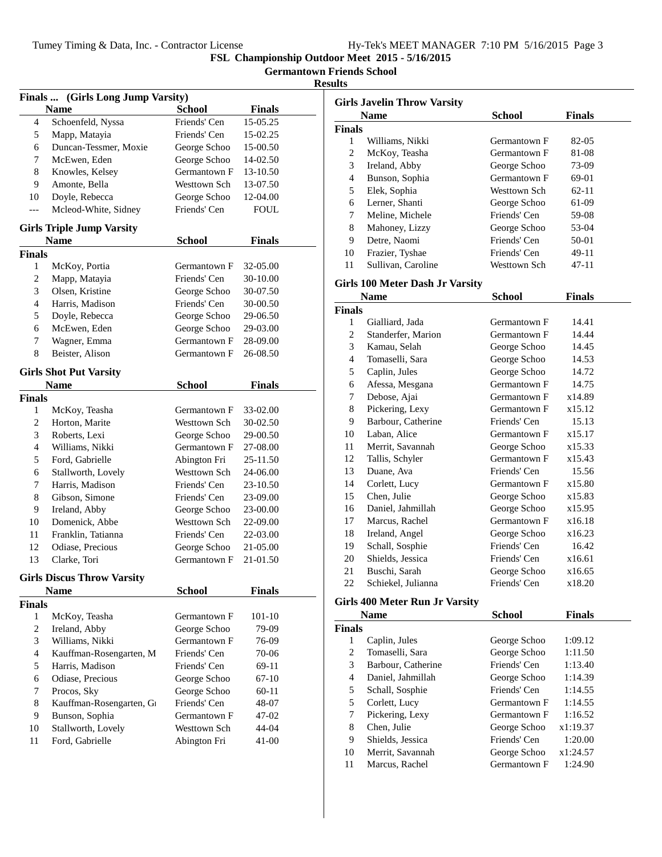|  |  |  |  | Hy-Tek's MEET MANAGER 7:10 PM 5/16/2015 Page 3 |  |  |  |
|--|--|--|--|------------------------------------------------|--|--|--|
|--|--|--|--|------------------------------------------------|--|--|--|

**Germantown Friends School**

|               | Finals  (Girls Long Jump Varsity) |               |               |
|---------------|-----------------------------------|---------------|---------------|
|               | <b>Name</b>                       | <b>School</b> | <b>Finals</b> |
| 4             | Schoenfeld, Nyssa                 | Friends' Cen  | 15-05.25      |
| 5             | Mapp, Matayia                     | Friends' Cen  | 15-02.25      |
| 6             | Duncan-Tessmer, Moxie             | George Schoo  | 15-00.50      |
| 7             | McEwen, Eden                      | George Schoo  | 14-02.50      |
| 8             | Knowles, Kelsey                   | Germantown F  | 13-10.50      |
| 9             | Amonte, Bella                     | Westtown Sch  | 13-07.50      |
| 10            | Doyle, Rebecca                    | George Schoo  | 12-04.00      |
| ---           | Mcleod-White, Sidney              | Friends' Cen  | <b>FOUL</b>   |
|               | <b>Girls Triple Jump Varsity</b>  |               |               |
|               | <b>Name</b>                       | <b>School</b> | <b>Finals</b> |
| <b>Finals</b> |                                   |               |               |
| 1             | McKoy, Portia                     | Germantown F  | 32-05.00      |
| 2             | Mapp, Matayia                     | Friends' Cen  | 30-10.00      |
| 3             | Olsen, Kristine                   | George Schoo  | 30-07.50      |
| 4             | Harris, Madison                   | Friends' Cen  | 30-00.50      |
| 5             | Doyle, Rebecca                    | George Schoo  | 29-06.50      |
| 6             | McEwen, Eden                      | George Schoo  | 29-03.00      |
| 7             | Wagner, Emma                      | Germantown F  | 28-09.00      |
| 8             | Beister, Alison                   | Germantown F  | 26-08.50      |
|               |                                   |               |               |
|               | <b>Girls Shot Put Varsity</b>     |               |               |
|               | <b>Name</b>                       | <b>School</b> | <b>Finals</b> |
| <b>Finals</b> |                                   |               |               |
| 1             | McKoy, Teasha                     | Germantown F  | 33-02.00      |
| 2             | Horton, Marite                    | Westtown Sch  | 30-02.50      |
| 3             | Roberts, Lexi                     | George Schoo  | 29-00.50      |
| 4             | Williams, Nikki                   | Germantown F  | 27-08.00      |
| 5             | Ford, Gabrielle                   | Abington Fri  | 25-11.50      |
| 6             | Stallworth, Lovely                | Westtown Sch  | 24-06.00      |
| 7             | Harris, Madison                   | Friends' Cen  | 23-10.50      |
| 8             | Gibson, Simone                    | Friends' Cen  | 23-09.00      |
| 9             | Ireland, Abby                     | George Schoo  | 23-00.00      |
| 10            | Domenick, Abbe                    | Westtown Sch  | 22-09.00      |
| 11            | Franklin, Tatianna                | Friends' Cen  | 22-03.00      |
| 12            | Odiase, Precious                  | George Schoo  | 21-05.00      |
| 13            | Clarke, Tori                      | Germantown F  | 21-01.50      |
|               | <b>Girls Discus Throw Varsity</b> |               |               |
|               | <b>Name</b>                       | <b>School</b> | Finals        |
| <b>Finals</b> |                                   |               |               |
| 1             | McKoy, Teasha                     | Germantown F  | 101-10        |
| 2             | Ireland, Abby                     | George Schoo  | 79-09         |
| 3             | Williams, Nikki                   | Germantown F  | 76-09         |
| 4             | Kauffman-Rosengarten, M           | Friends' Cen  | 70-06         |
| 5             | Harris, Madison                   | Friends' Cen  | 69-11         |
| 6             | Odiase, Precious                  | George Schoo  | 67-10         |
| 7             | Procos, Sky                       | George Schoo  | 60-11         |
| 8             | Kauffman-Rosengarten, G           | Friends' Cen  | 48-07         |
| 9             | Bunson, Sophia                    | Germantown F  | 47-02         |
| 10            | Stallworth, Lovely                | Westtown Sch  | 44-04         |
| 11            | Ford, Gabrielle                   | Abington Fri  | $41 - 00$     |
|               |                                   |               |               |

|                          | <b>Girls Javelin Throw Varsity</b>     |              |               |  |
|--------------------------|----------------------------------------|--------------|---------------|--|
|                          | <b>Name</b>                            | School       | <b>Finals</b> |  |
| <b>Finals</b>            |                                        |              |               |  |
| 1                        | Williams, Nikki                        | Germantown F | 82-05         |  |
| $\overline{c}$           | McKoy, Teasha                          | Germantown F | 81-08         |  |
| 3                        | Ireland, Abby                          | George Schoo | 73-09         |  |
| $\overline{\mathcal{L}}$ | Bunson, Sophia                         | Germantown F | 69-01         |  |
| 5                        | Elek, Sophia                           | Westtown Sch | 62-11         |  |
| 6                        | Lerner, Shanti                         | George Schoo | 61-09         |  |
| 7                        | Meline, Michele                        | Friends' Cen | 59-08         |  |
| 8                        | Mahoney, Lizzy                         | George Schoo | 53-04         |  |
| 9                        | Detre, Naomi                           | Friends' Cen | 50-01         |  |
| 10                       | Frazier, Tyshae                        | Friends' Cen | 49-11         |  |
| 11                       | Sullivan, Caroline                     | Westtown Sch | 47-11         |  |
|                          | <b>Girls 100 Meter Dash Jr Varsity</b> |              |               |  |
|                          | <b>Name</b>                            | School       | Finals        |  |
| Finals                   |                                        |              |               |  |
| 1                        | Gialliard, Jada                        | Germantown F | 14.41         |  |
| $\overline{c}$           | Standerfer, Marion                     | Germantown F | 14.44         |  |
| 3                        | Kamau, Selah                           | George Schoo | 14.45         |  |
| 4                        | Tomaselli, Sara                        | George Schoo | 14.53         |  |
| 5                        | Caplin, Jules                          | George Schoo | 14.72         |  |
| 6                        | Afessa, Mesgana                        | Germantown F | 14.75         |  |
| 7                        | Debose, Ajai                           | Germantown F | x14.89        |  |
| 8                        | Pickering, Lexy                        | Germantown F | x15.12        |  |
| 9                        | Barbour, Catherine                     | Friends' Cen | 15.13         |  |
| 10                       | Laban, Alice                           | Germantown F | x15.17        |  |
| 11                       | Merrit, Savannah                       | George Schoo | x15.33        |  |
| 12                       | Tallis, Schyler                        | Germantown F | x15.43        |  |
| 13                       | Duane, Ava                             | Friends' Cen | 15.56         |  |
| 14                       | Corlett, Lucy                          | Germantown F | x15.80        |  |
| 15                       | Chen, Julie                            | George Schoo | x15.83        |  |
| 16                       | Daniel, Jahmillah                      | George Schoo | x15.95        |  |
| 17                       | Marcus, Rachel                         | Germantown F | x16.18        |  |
| 18                       | Ireland, Angel                         | George Schoo | x16.23        |  |
| 19                       | Schall, Sosphie                        | Friends' Cen | 16.42         |  |
| 20                       | Shields, Jessica                       | Friends' Cen | x16.61        |  |
| 21                       | Buschi, Sarah                          | George Schoo | x16.65        |  |
| 22                       | Schiekel, Julianna                     | Friends' Cen | x18.20        |  |
|                          | Girls 400 Meter Run Jr Varsity         |              |               |  |
|                          | <b>Name</b>                            | School       | Finals        |  |
| <b>Finals</b>            |                                        |              |               |  |
| 1                        | Caplin, Jules                          | George Schoo | 1:09.12       |  |
| $\mathcal{D}$            | Tomaselli Sara                         | George Schoo | 1.1150        |  |

|    | Caplin, Jules      | George Schoo | 1:09.12  |
|----|--------------------|--------------|----------|
| 2  | Tomaselli, Sara    | George Schoo | 1:11.50  |
| 3  | Barbour, Catherine | Friends' Cen | 1:13.40  |
| 4  | Daniel, Jahmillah  | George Schoo | 1:14.39  |
| 5  | Schall, Sosphie    | Friends' Cen | 1:14.55  |
| 5  | Corlett, Lucy      | Germantown F | 1:14.55  |
| 7  | Pickering, Lexy    | Germantown F | 1:16.52  |
| 8  | Chen, Julie        | George Schoo | x1:19.37 |
| 9  | Shields, Jessica   | Friends' Cen | 1:20.00  |
| 10 | Merrit, Savannah   | George Schoo | x1:24.57 |
| 11 | Marcus, Rachel     | Germantown F | 1:24.90  |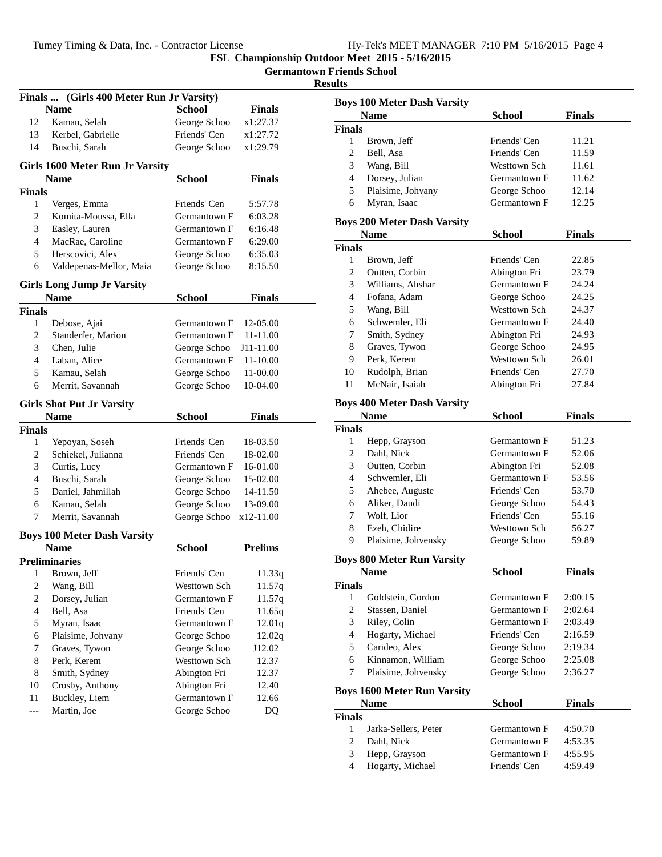**Germantown Friends School**

|                | Finals  (Girls 400 Meter Run Jr Varsity)         |                              |                  |
|----------------|--------------------------------------------------|------------------------------|------------------|
|                | <b>Name</b>                                      | <b>School</b>                | <b>Finals</b>    |
| 12             | Kamau, Selah                                     | George Schoo                 | x1:27.37         |
| 13             | Kerbel, Gabrielle                                | Friends' Cen                 | x1:27.72         |
| 14             | Buschi, Sarah                                    | George Schoo                 | x1:29.79         |
|                | Girls 1600 Meter Run Jr Varsity                  |                              |                  |
|                | <b>Name</b>                                      | School                       | <b>Finals</b>    |
| Finals         |                                                  |                              |                  |
| 1              | Verges, Emma                                     | Friends' Cen                 | 5:57.78          |
| $\overline{c}$ | Komita-Moussa, Ella                              | Germantown F                 | 6:03.28          |
| 3              | Easley, Lauren                                   | Germantown F                 | 6:16.48          |
| $\overline{4}$ | MacRae, Caroline                                 | Germantown F                 | 6:29.00          |
| 5              | Herscovici, Alex                                 | George Schoo                 | 6:35.03          |
| 6              | Valdepenas-Mellor, Maia                          | George Schoo                 | 8:15.50          |
|                |                                                  |                              |                  |
|                | <b>Girls Long Jump Jr Varsity</b><br><b>Name</b> |                              | Finals           |
| <b>Finals</b>  |                                                  | School                       |                  |
| 1              | Debose, Ajai                                     | Germantown F                 | 12-05.00         |
| 2              | Standerfer, Marion                               | Germantown F                 | 11-11.00         |
| 3              | Chen, Julie                                      | George Schoo                 | J11-11.00        |
| 4              |                                                  |                              |                  |
|                | Laban, Alice                                     | Germantown F                 | 11-10.00         |
| 5              | Kamau, Selah                                     | George Schoo                 | 11-00.00         |
| 6              | Merrit, Savannah                                 | George Schoo                 | 10-04.00         |
|                | <b>Girls Shot Put Jr Varsity</b>                 |                              |                  |
|                | <b>Name</b>                                      | <b>School</b>                | Finals           |
|                |                                                  |                              |                  |
| <b>Finals</b>  |                                                  |                              |                  |
| 1              | Yepoyan, Soseh                                   | Friends' Cen                 | 18-03.50         |
| 2              | Schiekel, Julianna                               | Friends' Cen                 | 18-02.00         |
| 3              | Curtis, Lucy                                     | Germantown F                 | 16-01.00         |
| 4              | Buschi, Sarah                                    | George Schoo                 | 15-02.00         |
| 5              | Daniel, Jahmillah                                | George Schoo                 | 14-11.50         |
| 6              | Kamau, Selah                                     | George Schoo                 | 13-09.00         |
| 7              | Merrit, Savannah                                 | George Schoo                 | x12-11.00        |
|                | <b>Boys 100 Meter Dash Varsity</b>               |                              |                  |
|                | Name                                             | <b>School</b>                | <b>Prelims</b>   |
|                | <b>Preliminaries</b>                             |                              |                  |
| 1              | Brown, Jeff                                      | Friends' Cen                 | 11.33q           |
| 2              | Wang, Bill                                       | Westtown Sch                 | 11.57q           |
| $\overline{c}$ | Dorsey, Julian                                   | Germantown F                 | 11.57q           |
| $\overline{4}$ |                                                  | Friends' Cen                 |                  |
| 5              | Bell, Asa<br>Myran, Isaac                        | Germantown F                 | 11.65q<br>12.01q |
| 6              |                                                  | George Schoo                 |                  |
| 7              | Plaisime, Johvany                                |                              | 12.02q           |
|                | Graves, Tywon                                    | George Schoo                 | J12.02           |
| 8              | Perk, Kerem                                      | Westtown Sch                 | 12.37            |
| 8              | Smith, Sydney                                    | Abington Fri                 | 12.37            |
| 10             | Crosby, Anthony                                  | Abington Fri                 | 12.40            |
| 11<br>---      | Buckley, Liem<br>Martin, Joe                     | Germantown F<br>George Schoo | 12.66<br>DQ      |

| แเร            |                                    |               |               |
|----------------|------------------------------------|---------------|---------------|
|                | <b>Boys 100 Meter Dash Varsity</b> |               |               |
|                | Name                               | <b>School</b> | <b>Finals</b> |
| <b>Finals</b>  |                                    |               |               |
| 1              | Brown, Jeff                        | Friends' Cen  | 11.21         |
| $\overline{c}$ | Bell, Asa                          | Friends' Cen  | 11.59         |
| 3              | Wang, Bill                         | Westtown Sch  | 11.61         |
| $\overline{4}$ | Dorsey, Julian                     | Germantown F  | 11.62         |
| 5              | Plaisime, Johvany                  | George Schoo  | 12.14         |
| 6              | Myran, Isaac                       | Germantown F  | 12.25         |
|                | <b>Boys 200 Meter Dash Varsity</b> |               |               |
|                | Name                               | School        | <b>Finals</b> |
| Finals         |                                    |               |               |
| 1              | Brown, Jeff                        | Friends' Cen  | 22.85         |
| $\overline{c}$ | Outten, Corbin                     | Abington Fri  | 23.79         |
| 3              | Williams, Ahshar                   | Germantown F  | 24.24         |
| 4              | Fofana, Adam                       | George Schoo  | 24.25         |
| 5              | Wang, Bill                         | Westtown Sch  | 24.37         |
| 6              | Schwemler, Eli                     | Germantown F  | 24.40         |
| 7              | Smith, Sydney                      | Abington Fri  | 24.93         |
| 8              | Graves, Tywon                      | George Schoo  | 24.95         |
| 9              | Perk, Kerem                        | Westtown Sch  | 26.01         |
| 10             | Rudolph, Brian                     | Friends' Cen  | 27.70         |
| 11             | McNair, Isaiah                     | Abington Fri  | 27.84         |
|                | <b>Boys 400 Meter Dash Varsity</b> |               |               |
|                | <b>Name</b>                        | School        | <b>Finals</b> |
| Finals         |                                    |               |               |
| 1              | Hepp, Grayson                      | Germantown F  | 51.23         |
| $\overline{c}$ | Dahl, Nick                         | Germantown F  | 52.06         |
| 3              | Outten, Corbin                     | Abington Fri  | 52.08         |
| 4              | Schwemler, Eli                     | Germantown F  | 53.56         |
| 5              | Ahebee, Auguste                    | Friends' Cen  | 53.70         |
| 6              | Aliker, Daudi                      | George Schoo  | 54.43         |
| 7              | Wolf, Lior                         | Friends' Cen  | 55.16         |
| 8              | Ezeh, Chidire                      | Westtown Sch  | 56.27         |
| 9              | Plaisime, Johvensky                | George Schoo  | 59.89         |
|                | <b>Boys 800 Meter Run Varsity</b>  |               |               |
|                | <b>Name</b>                        | School        | <b>Finals</b> |
| Finals         |                                    |               |               |
|                | 1 Goldstein Gordon                 | Germantown F  | 2:0015        |

| <b>Finais</b> |                                    |              |               |
|---------------|------------------------------------|--------------|---------------|
| 1             | Goldstein, Gordon                  | Germantown F | 2:00.15       |
| 2             | Stassen, Daniel                    | Germantown F | 2:02.64       |
| 3             | Riley, Colin                       | Germantown F | 2:03.49       |
| 4             | Hogarty, Michael                   | Friends' Cen | 2:16.59       |
| 5             | Carideo, Alex                      | George Schoo | 2:19.34       |
| 6             | Kinnamon, William                  | George Schoo | 2:25.08       |
| 7             | Plaisime, Johvensky                | George Schoo | 2:36.27       |
|               |                                    |              |               |
|               | <b>Boys 1600 Meter Run Varsity</b> |              |               |
|               | <b>Name</b>                        | School       | <b>Finals</b> |
| <b>Finals</b> |                                    |              |               |
| 1             | Jarka-Sellers, Peter               | Germantown F | 4:50.70       |
| 2             | Dahl, Nick                         | Germantown F | 4:53.35       |
| 3             | Hepp, Grayson                      | Germantown F | 4:55.95       |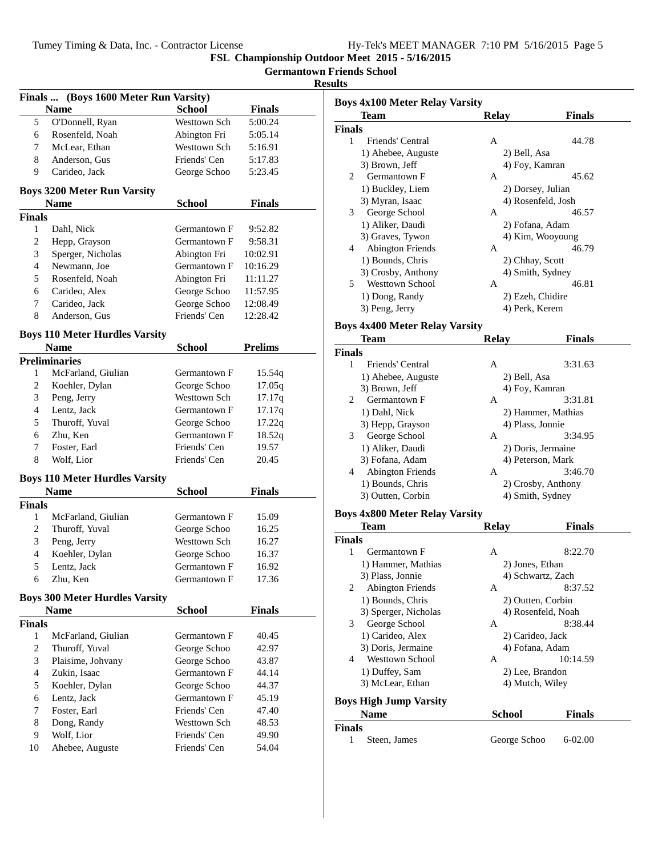|  | Hy-Tek's MEET MANAGER 7:10 PM 5/16/2015 Page 5 |  |  |
|--|------------------------------------------------|--|--|
|  |                                                |  |  |

**Germantown Friends School**

| Finals  (Boys 1600 Meter Run Varsity) |                                       |               |                |  |
|---------------------------------------|---------------------------------------|---------------|----------------|--|
|                                       | <b>Name</b>                           | <b>School</b> | <b>Finals</b>  |  |
| 5                                     | O'Donnell, Ryan                       | Westtown Sch  | 5:00.24        |  |
| 6                                     | Rosenfeld, Noah                       | Abington Fri  | 5:05.14        |  |
| 7                                     | McLear, Ethan                         | Westtown Sch  | 5:16.91        |  |
| 8                                     | Anderson, Gus                         | Friends' Cen  | 5:17.83        |  |
| 9.                                    | Carideo, Jack                         | George Schoo  | 5:23.45        |  |
|                                       | <b>Boys 3200 Meter Run Varsity</b>    |               |                |  |
|                                       | <b>Name</b>                           | <b>School</b> | Finals         |  |
| <b>Finals</b>                         |                                       |               |                |  |
| 1                                     | Dahl, Nick                            | Germantown F  | 9:52.82        |  |
| 2                                     | Hepp, Grayson                         | Germantown F  | 9:58.31        |  |
| 3                                     | Sperger, Nicholas                     | Abington Fri  | 10:02.91       |  |
| 4                                     | Newmann, Joe                          | Germantown F  | 10:16.29       |  |
| 5                                     | Rosenfeld, Noah                       | Abington Fri  | 11:11.27       |  |
| 6                                     | Carideo, Alex                         | George Schoo  | 11:57.95       |  |
| 7                                     | Carideo, Jack                         | George Schoo  | 12:08.49       |  |
| 8                                     | Anderson, Gus                         | Friends' Cen  | 12:28.42       |  |
|                                       | <b>Boys 110 Meter Hurdles Varsity</b> |               |                |  |
|                                       | <b>Name</b>                           | <b>School</b> | <b>Prelims</b> |  |
|                                       | <b>Preliminaries</b>                  |               |                |  |
| 1                                     | McFarland, Giulian                    | Germantown F  | 15.54q         |  |
| 2                                     | Koehler, Dylan                        | George Schoo  | 17.05q         |  |
| 3                                     | Peng, Jerry                           | Westtown Sch  | 17.17q         |  |
| 4                                     | Lentz, Jack                           | Germantown F  | 17.17q         |  |
| 5                                     | Thuroff, Yuval                        | George Schoo  | 17.22q         |  |
| 6                                     | Zhu, Ken                              | Germantown F  | 18.52q         |  |
| 7                                     | Foster, Earl                          | Friends' Cen  | 19.57          |  |
| 8                                     | Wolf, Lior                            | Friends' Cen  | 20.45          |  |
|                                       | <b>Boys 110 Meter Hurdles Varsity</b> |               |                |  |
|                                       | <b>Name</b>                           | School        | Finals         |  |
| <b>Finals</b>                         |                                       |               |                |  |
| 1                                     | McFarland, Giulian                    | Germantown F  | 15.09          |  |
| 2                                     | Thuroff, Yuval                        | George Schoo  | 16.25          |  |
| 3                                     | Peng, Jerry                           | Westtown Sch  | 16.27          |  |
| 4                                     | Koehler, Dylan                        | George Schoo  | 16.37          |  |
| 5                                     | Lentz, Jack                           | Germantown F  | 16.92          |  |
| 6                                     | Zhu, Ken                              | Germantown F  | 17.36          |  |
|                                       | <b>Boys 300 Meter Hurdles Varsity</b> |               |                |  |
|                                       | Name                                  | <b>School</b> | <b>Finals</b>  |  |
| <b>Finals</b>                         |                                       |               |                |  |
| 1                                     | McFarland, Giulian                    | Germantown F  | 40.45          |  |
| 2                                     | Thuroff, Yuval                        | George Schoo  | 42.97          |  |
| 3                                     | Plaisime, Johvany                     | George Schoo  | 43.87          |  |
| 4                                     | Zukin, Isaac                          | Germantown F  | 44.14          |  |
| 5                                     | Koehler, Dylan                        | George Schoo  | 44.37          |  |
| 6                                     | Lentz, Jack                           | Germantown F  | 45.19          |  |
| 7                                     | Foster, Earl                          | Friends' Cen  | 47.40          |  |
| 8                                     | Dong, Randy                           | Westtown Sch  | 48.53          |  |
| 9                                     | Wolf, Lior                            | Friends' Cen  | 49.90          |  |
| 10                                    | Ahebee, Auguste                       | Friends' Cen  | 54.04          |  |
|                                       |                                       |               |                |  |

| <b>Boys 4x100 Meter Relay Varsity</b><br><b>Team</b> | <b>Relay</b>      | <b>Finals</b>      |
|------------------------------------------------------|-------------------|--------------------|
| <b>Finals</b>                                        |                   |                    |
| 1<br>Friends' Central                                | А                 | 44.78              |
| 1) Ahebee, Auguste                                   | 2) Bell, Asa      |                    |
| 3) Brown, Jeff                                       | 4) Foy, Kamran    |                    |
| 2<br>Germantown F                                    | А                 | 45.62              |
| 1) Buckley, Liem                                     | 2) Dorsey, Julian |                    |
| 3) Myran, Isaac                                      |                   | 4) Rosenfeld, Josh |
| George School<br>3                                   | А                 | 46.57              |
| 1) Aliker, Daudi                                     | 2) Fofana, Adam   |                    |
| 3) Graves, Tywon                                     |                   | 4) Kim, Wooyoung   |
| <b>Abington Friends</b><br>4                         | A                 | 46.79              |
| 1) Bounds, Chris                                     | 2) Chhay, Scott   |                    |
| 3) Crosby, Anthony                                   |                   | 4) Smith, Sydney   |
| <b>Westtown School</b><br>5.                         | А                 | 46.81              |
|                                                      |                   |                    |
| 1) Dong, Randy                                       | 2) Ezeh, Chidire  |                    |
| 3) Peng, Jerry                                       | 4) Perk, Kerem    |                    |
| <b>Boys 4x400 Meter Relay Varsity</b>                |                   |                    |
| Team                                                 | <b>Relay</b>      | <b>Finals</b>      |
| <b>Finals</b>                                        |                   |                    |
| Friends' Central<br>1                                | A                 | 3:31.63            |
| 1) Ahebee, Auguste                                   | 2) Bell, Asa      |                    |
| 3) Brown, Jeff                                       | 4) Foy, Kamran    |                    |
| Germantown F<br>2                                    | A                 | 3:31.81            |
| 1) Dahl, Nick                                        |                   | 2) Hammer, Mathias |
| 3) Hepp, Grayson                                     | 4) Plass, Jonnie  |                    |
| George School<br>3                                   | А                 | 3:34.95            |
| 1) Aliker, Daudi                                     |                   | 2) Doris, Jermaine |
| 3) Fofana, Adam                                      |                   | 4) Peterson, Mark  |
| 4<br><b>Abington Friends</b>                         | A                 | 3:46.70            |
| 1) Bounds, Chris                                     |                   | 2) Crosby, Anthony |
| 3) Outten, Corbin                                    |                   | 4) Smith, Sydney   |
| <b>Boys 4x800 Meter Relay Varsity</b>                |                   |                    |
| Team                                                 | <b>Relay</b>      | <b>Finals</b>      |
| <b>Finals</b>                                        |                   |                    |
| 1<br>Germantown F                                    | А                 | 8:22.70            |
| 1) Hammer, Mathias                                   | 2) Jones, Ethan   |                    |
| 3) Plass, Jonnie                                     |                   | 4) Schwartz, Zach  |
| 2<br><b>Abington Friends</b>                         | А                 | 8:37.52            |
| 1) Bounds, Chris                                     |                   | 2) Outten, Corbin  |
| 3) Sperger, Nicholas                                 |                   | 4) Rosenfeld, Noah |
| 3<br>George School                                   | А                 | 8:38.44            |
| 1) Carideo, Alex                                     |                   |                    |
|                                                      | 2) Carideo, Jack  |                    |
| 3) Doris, Jermaine                                   | 4) Fofana, Adam   |                    |
| <b>Westtown School</b><br>4                          | A                 | 10:14.59           |
| 1) Duffey, Sam                                       | 2) Lee, Brandon   |                    |
| 3) McLear, Ethan                                     | 4) Mutch, Wiley   |                    |
| <b>Boys High Jump Varsity</b>                        |                   |                    |
| <b>Name</b>                                          | School            | <b>Finals</b>      |
| <b>Finals</b>                                        |                   |                    |
| 1<br>Steen, James                                    | George Schoo      | 6-02.00            |
|                                                      |                   |                    |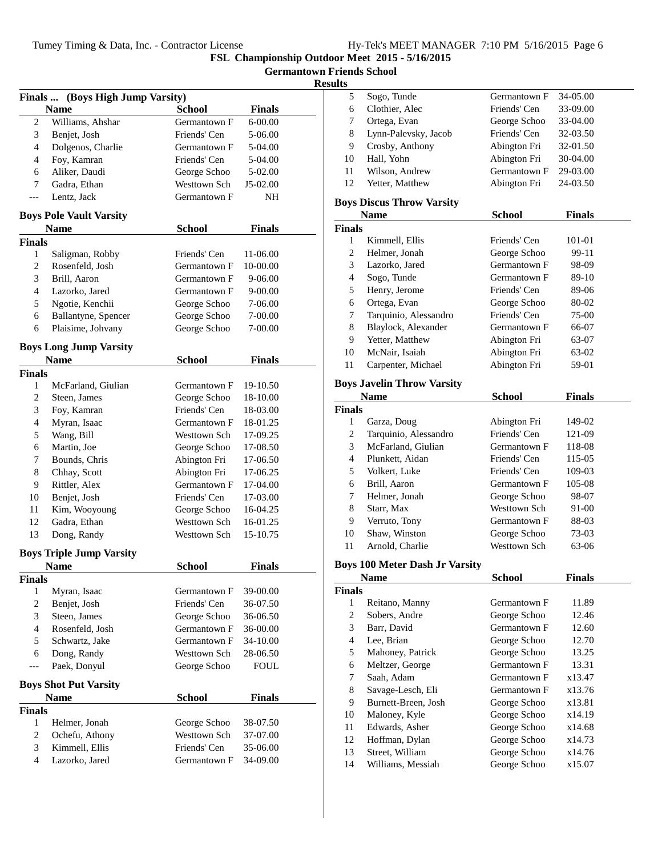| Hy-Tek's MEET MANAGER 7:10 PM 5/16/2015 Page 6 |  |  |  |
|------------------------------------------------|--|--|--|
|------------------------------------------------|--|--|--|

**Germantown Friends School**

### **Results**

| Finals  (Boys High Jump Varsity) |                                             |                              |                      |  |
|----------------------------------|---------------------------------------------|------------------------------|----------------------|--|
|                                  | <b>Name</b>                                 | <b>School</b>                | Finals               |  |
| 2                                | Williams, Ahshar                            | Germantown F                 | 6-00.00              |  |
| 3                                | Benjet, Josh                                | Friends' Cen                 | 5-06.00              |  |
| $\overline{4}$                   | Dolgenos, Charlie                           | Germantown F                 | 5-04.00              |  |
| 4                                | Foy, Kamran                                 | Friends' Cen                 | 5-04.00              |  |
| 6                                | Aliker, Daudi                               | George Schoo                 | 5-02.00              |  |
| 7                                | Gadra, Ethan                                | Westtown Sch                 | J5-02.00             |  |
| ---                              | Lentz, Jack                                 | Germantown F                 | NH                   |  |
|                                  | <b>Boys Pole Vault Varsity</b>              |                              |                      |  |
|                                  | <b>Name</b>                                 | <b>School</b>                | <b>Finals</b>        |  |
| <b>Finals</b>                    |                                             |                              |                      |  |
| 1                                | Saligman, Robby                             | Friends' Cen                 | 11-06.00             |  |
| 2                                | Rosenfeld, Josh                             | Germantown F                 | 10-00.00             |  |
| 3                                | Brill, Aaron                                | Germantown F                 | 9-06.00              |  |
| 4                                | Lazorko, Jared                              | Germantown F                 | 9-00.00              |  |
| 5                                | Ngotie, Kenchii                             | George Schoo                 | 7-06.00              |  |
| 6                                | Ballantyne, Spencer                         | George Schoo                 | 7-00.00              |  |
| 6                                | Plaisime, Johvany                           | George Schoo                 | 7-00.00              |  |
|                                  | <b>Boys Long Jump Varsity</b>               |                              |                      |  |
|                                  | <b>Name</b>                                 | <b>School</b>                | Finals               |  |
| <b>Finals</b>                    |                                             |                              |                      |  |
| 1                                | McFarland, Giulian                          | Germantown F                 | 19-10.50             |  |
| 2                                | Steen, James                                | George Schoo                 | 18-10.00             |  |
| 3                                | Foy, Kamran                                 | Friends' Cen                 | 18-03.00             |  |
| 4                                | Myran, Isaac                                | Germantown F                 | 18-01.25             |  |
| 5                                | Wang, Bill                                  | Westtown Sch                 | 17-09.25             |  |
| 6                                | Martin, Joe                                 | George Schoo                 | 17-08.50             |  |
| 7                                | Bounds, Chris                               | Abington Fri                 | 17-06.50             |  |
| 8                                | Chhay, Scott                                | Abington Fri                 | 17-06.25             |  |
| 9                                | Rittler, Alex                               | Germantown F                 | 17-04.00             |  |
| 10                               | Benjet, Josh                                | Friends' Cen                 | 17-03.00             |  |
| 11                               | Kim, Wooyoung                               | George Schoo                 | 16-04.25             |  |
| 12                               | Gadra, Ethan                                | Westtown Sch                 | 16-01.25             |  |
| 13                               | Dong, Randy                                 | Westtown Sch                 | 15-10.75             |  |
|                                  |                                             |                              |                      |  |
|                                  | <b>Boys Triple Jump Varsity</b>             |                              | <b>Finals</b>        |  |
| <b>Finals</b>                    | <b>Name</b>                                 | <b>School</b>                |                      |  |
| 1                                | Myran, Isaac                                | Germantown F                 | 39-00.00             |  |
| $\overline{c}$                   | Benjet, Josh                                | Friends' Cen                 | 36-07.50             |  |
| 3                                |                                             |                              |                      |  |
| 4                                | Steen, James<br>Rosenfeld, Josh             | George Schoo<br>Germantown F | 36-06.50<br>36-00.00 |  |
| 5                                |                                             |                              |                      |  |
|                                  | Schwartz, Jake                              | Germantown F                 | 34-10.00             |  |
| 6                                | Dong, Randy                                 | Westtown Sch                 | 28-06.50             |  |
| $---$                            | Paek, Donyul                                | George Schoo                 | <b>FOUL</b>          |  |
|                                  | <b>Boys Shot Put Varsity</b><br><b>Name</b> | <b>School</b>                | Finals               |  |
| <b>Finals</b>                    |                                             |                              |                      |  |
| 1                                | Helmer, Jonah                               | George Schoo                 | 38-07.50             |  |
| 2                                | Ochefu, Athony                              | Westtown Sch                 | 37-07.00             |  |
| 3                                | Kimmell, Ellis                              | Friends' Cen                 | 35-06.00             |  |
| 4                                |                                             | Germantown F                 | 34-09.00             |  |
|                                  | Lazorko, Jared                              |                              |                      |  |

| s  |                      |              |          |
|----|----------------------|--------------|----------|
|    | Sogo, Tunde          | Germantown F | 34-05.00 |
| 6  | Clothier, Alec       | Friends' Cen | 33-09.00 |
|    | Ortega, Evan         | George Schoo | 33-04.00 |
| 8  | Lynn-Palevsky, Jacob | Friends' Cen | 32-03.50 |
| 9  | Crosby, Anthony      | Abington Fri | 32-01.50 |
| 10 | Hall, Yohn           | Abington Fri | 30-04.00 |
| 11 | Wilson, Andrew       | Germantown F | 29-03.00 |
| 12 | Yetter, Matthew      | Abington Fri | 24-03.50 |
|    |                      |              |          |

### **Boys Discus Throw Varsity**

|        | <b>Name</b>           | School       | <b>Finals</b> |  |
|--------|-----------------------|--------------|---------------|--|
| Finals |                       |              |               |  |
| 1      | Kimmell, Ellis        | Friends' Cen | 101-01        |  |
| 2      | Helmer, Jonah         | George Schoo | 99-11         |  |
| 3      | Lazorko, Jared        | Germantown F | 98-09         |  |
| 4      | Sogo, Tunde           | Germantown F | 89-10         |  |
| 5      | Henry, Jerome         | Friends' Cen | 89-06         |  |
| 6      | Ortega, Evan          | George Schoo | 80-02         |  |
| 7      | Tarquinio, Alessandro | Friends' Cen | 75-00         |  |
| 8      | Blaylock, Alexander   | Germantown F | 66-07         |  |
| 9      | Yetter, Matthew       | Abington Fri | 63-07         |  |
| 10     | McNair, Isaiah        | Abington Fri | 63-02         |  |
| 11     | Carpenter, Michael    | Abington Fri | 59-01         |  |
|        |                       |              |               |  |

### **Boys Javelin Throw Varsity**

|               | Name                  | <b>School</b> | <b>Finals</b> |  |
|---------------|-----------------------|---------------|---------------|--|
| <b>Finals</b> |                       |               |               |  |
| 1             | Garza, Doug           | Abington Fri  | 149-02        |  |
| 2             | Tarquinio, Alessandro | Friends' Cen  | 121-09        |  |
| 3             | McFarland, Giulian    | Germantown F  | 118-08        |  |
| 4             | Plunkett, Aidan       | Friends' Cen  | 115-05        |  |
| 5             | Volkert, Luke         | Friends' Cen  | 109-03        |  |
| 6             | Brill, Aaron          | Germantown F  | 105-08        |  |
| 7             | Helmer, Jonah         | George Schoo  | 98-07         |  |
| 8             | Starr, Max            | Westtown Sch  | 91-00         |  |
| 9             | Verruto, Tony         | Germantown F  | 88-03         |  |
| 10            | Shaw, Winston         | George Schoo  | 73-03         |  |
| 11            | Arnold, Charlie       | Westtown Sch  | 63-06         |  |

### **Boys 100 Meter Dash Jr Varsity**

|    | Name                | School       | <b>Finals</b> |  |  |  |
|----|---------------------|--------------|---------------|--|--|--|
|    | <b>Finals</b>       |              |               |  |  |  |
| 1  | Reitano, Manny      | Germantown F | 11.89         |  |  |  |
| 2  | Sobers, Andre       | George Schoo | 12.46         |  |  |  |
| 3  | Barr, David         | Germantown F | 12.60         |  |  |  |
| 4  | Lee, Brian          | George Schoo | 12.70         |  |  |  |
| 5  | Mahoney, Patrick    | George Schoo | 13.25         |  |  |  |
| 6  | Meltzer, George     | Germantown F | 13.31         |  |  |  |
| 7  | Saah, Adam          | Germantown F | x13.47        |  |  |  |
| 8  | Savage-Lesch, Eli   | Germantown F | x13.76        |  |  |  |
| 9  | Burnett-Breen, Josh | George Schoo | x13.81        |  |  |  |
| 10 | Maloney, Kyle       | George Schoo | x14.19        |  |  |  |
| 11 | Edwards, Asher      | George Schoo | x14.68        |  |  |  |
| 12 | Hoffman, Dylan      | George Schoo | x14.73        |  |  |  |
| 13 | Street, William     | George Schoo | x14.76        |  |  |  |
| 14 | Williams, Messiah   | George Schoo | x15.07        |  |  |  |